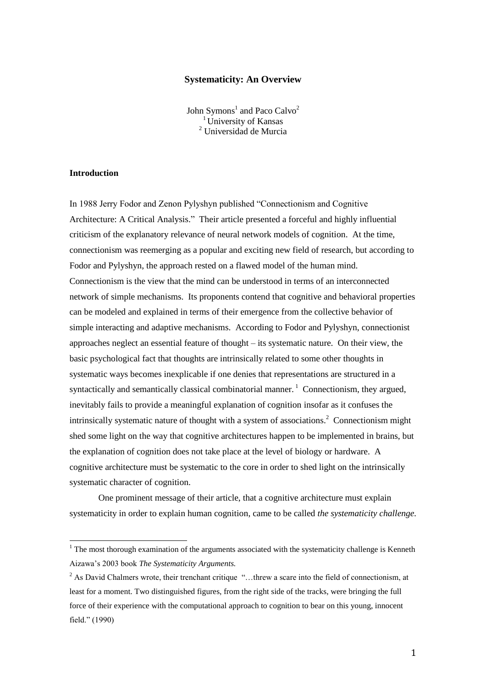## **Systematicity: An Overview**

John  $\operatorname{Symons}^1$  and Paco  $\operatorname{Calvo}^2$  $1$ University of Kansas <sup>2</sup> Universidad de Murcia

# **Introduction**

1

In 1988 Jerry Fodor and Zenon Pylyshyn published "Connectionism and Cognitive Architecture: A Critical Analysis." Their article presented a forceful and highly influential criticism of the explanatory relevance of neural network models of cognition. At the time, connectionism was reemerging as a popular and exciting new field of research, but according to Fodor and Pylyshyn, the approach rested on a flawed model of the human mind. Connectionism is the view that the mind can be understood in terms of an interconnected network of simple mechanisms. Its proponents contend that cognitive and behavioral properties can be modeled and explained in terms of their emergence from the collective behavior of simple interacting and adaptive mechanisms. According to Fodor and Pylyshyn, connectionist approaches neglect an essential feature of thought – its systematic nature. On their view, the basic psychological fact that thoughts are intrinsically related to some other thoughts in systematic ways becomes inexplicable if one denies that representations are structured in a syntactically and semantically classical combinatorial manner.<sup>1</sup> Connectionism, they argued, inevitably fails to provide a meaningful explanation of cognition insofar as it confuses the intrinsically systematic nature of thought with a system of associations. 2 Connectionism might shed some light on the way that cognitive architectures happen to be implemented in brains, but the explanation of cognition does not take place at the level of biology or hardware. A cognitive architecture must be systematic to the core in order to shed light on the intrinsically systematic character of cognition.

One prominent message of their article, that a cognitive architecture must explain systematicity in order to explain human cognition, came to be called *the systematicity challenge.*

 $<sup>1</sup>$  The most thorough examination of the arguments associated with the systematicity challenge is Kenneth</sup> Aizawa's 2003 book *The Systematicity Arguments.*

<sup>&</sup>lt;sup>2</sup> As David Chalmers wrote, their trenchant critique "...threw a scare into the field of connectionism, at least for a moment. Two distinguished figures, from the right side of the tracks, were bringing the full force of their experience with the computational approach to cognition to bear on this young, innocent field." (1990)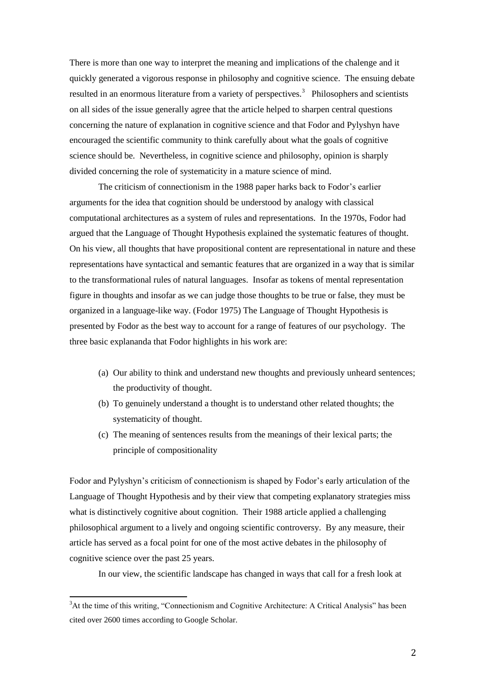There is more than one way to interpret the meaning and implications of the chalenge and it quickly generated a vigorous response in philosophy and cognitive science. The ensuing debate resulted in an enormous literature from a variety of perspectives.<sup>3</sup> Philosophers and scientists on all sides of the issue generally agree that the article helped to sharpen central questions concerning the nature of explanation in cognitive science and that Fodor and Pylyshyn have encouraged the scientific community to think carefully about what the goals of cognitive science should be. Nevertheless, in cognitive science and philosophy, opinion is sharply divided concerning the role of systematicity in a mature science of mind.

The criticism of connectionism in the 1988 paper harks back to Fodor's earlier arguments for the idea that cognition should be understood by analogy with classical computational architectures as a system of rules and representations. In the 1970s, Fodor had argued that the Language of Thought Hypothesis explained the systematic features of thought. On his view, all thoughts that have propositional content are representational in nature and these representations have syntactical and semantic features that are organized in a way that is similar to the transformational rules of natural languages. Insofar as tokens of mental representation figure in thoughts and insofar as we can judge those thoughts to be true or false, they must be organized in a language-like way. (Fodor 1975) The Language of Thought Hypothesis is presented by Fodor as the best way to account for a range of features of our psychology. The three basic explananda that Fodor highlights in his work are:

- (a) Our ability to think and understand new thoughts and previously unheard sentences; the productivity of thought.
- (b) To genuinely understand a thought is to understand other related thoughts; the systematicity of thought.
- (c) The meaning of sentences results from the meanings of their lexical parts; the principle of compositionality

Fodor and Pylyshyn's criticism of connectionism is shaped by Fodor's early articulation of the Language of Thought Hypothesis and by their view that competing explanatory strategies miss what is distinctively cognitive about cognition. Their 1988 article applied a challenging philosophical argument to a lively and ongoing scientific controversy. By any measure, their article has served as a focal point for one of the most active debates in the philosophy of cognitive science over the past 25 years.

In our view, the scientific landscape has changed in ways that call for a fresh look at

<sup>&</sup>lt;sup>3</sup>At the time of this writing, "Connectionism and Cognitive Architecture: A Critical Analysis" has been cited over 2600 times according to Google Scholar.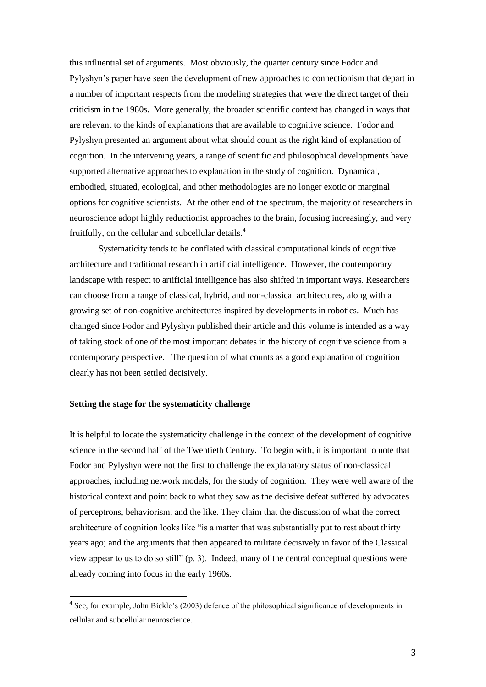this influential set of arguments. Most obviously, the quarter century since Fodor and Pylyshyn's paper have seen the development of new approaches to connectionism that depart in a number of important respects from the modeling strategies that were the direct target of their criticism in the 1980s. More generally, the broader scientific context has changed in ways that are relevant to the kinds of explanations that are available to cognitive science. Fodor and Pylyshyn presented an argument about what should count as the right kind of explanation of cognition. In the intervening years, a range of scientific and philosophical developments have supported alternative approaches to explanation in the study of cognition. Dynamical, embodied, situated, ecological, and other methodologies are no longer exotic or marginal options for cognitive scientists. At the other end of the spectrum, the majority of researchers in neuroscience adopt highly reductionist approaches to the brain, focusing increasingly, and very fruitfully, on the cellular and subcellular details. 4

Systematicity tends to be conflated with classical computational kinds of cognitive architecture and traditional research in artificial intelligence. However, the contemporary landscape with respect to artificial intelligence has also shifted in important ways. Researchers can choose from a range of classical, hybrid, and non-classical architectures, along with a growing set of non-cognitive architectures inspired by developments in robotics. Much has changed since Fodor and Pylyshyn published their article and this volume is intended as a way of taking stock of one of the most important debates in the history of cognitive science from a contemporary perspective. The question of what counts as a good explanation of cognition clearly has not been settled decisively.

## **Setting the stage for the systematicity challenge**

1

It is helpful to locate the systematicity challenge in the context of the development of cognitive science in the second half of the Twentieth Century. To begin with, it is important to note that Fodor and Pylyshyn were not the first to challenge the explanatory status of non-classical approaches, including network models, for the study of cognition. They were well aware of the historical context and point back to what they saw as the decisive defeat suffered by advocates of perceptrons, behaviorism, and the like. They claim that the discussion of what the correct architecture of cognition looks like "is a matter that was substantially put to rest about thirty years ago; and the arguments that then appeared to militate decisively in favor of the Classical view appear to us to do so still" (p. 3). Indeed, many of the central conceptual questions were already coming into focus in the early 1960s.

<sup>&</sup>lt;sup>4</sup> See, for example, John Bickle's (2003) defence of the philosophical significance of developments in cellular and subcellular neuroscience.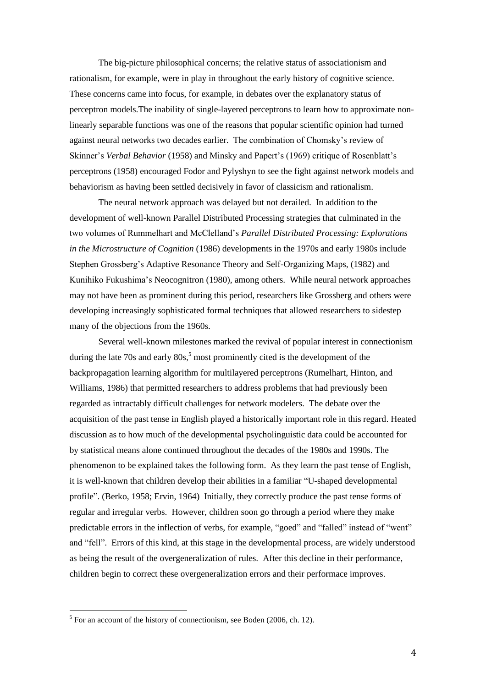The big-picture philosophical concerns; the relative status of associationism and rationalism, for example, were in play in throughout the early history of cognitive science. These concerns came into focus, for example, in debates over the explanatory status of perceptron models.The inability of single-layered perceptrons to learn how to approximate nonlinearly separable functions was one of the reasons that popular scientific opinion had turned against neural networks two decades earlier. The combination of Chomsky's review of Skinner's *Verbal Behavior* (1958) and Minsky and Papert's (1969) critique of Rosenblatt's perceptrons (1958) encouraged Fodor and Pylyshyn to see the fight against network models and behaviorism as having been settled decisively in favor of classicism and rationalism.

The neural network approach was delayed but not derailed. In addition to the development of well-known Parallel Distributed Processing strategies that culminated in the two volumes of Rummelhart and McClelland's *Parallel Distributed Processing: Explorations in the Microstructure of Cognition* (1986) developments in the 1970s and early 1980s include Stephen Grossberg's Adaptive Resonance Theory and Self-Organizing Maps, (1982) and Kunihiko Fukushima's Neocognitron (1980), among others. While neural network approaches may not have been as prominent during this period, researchers like Grossberg and others were developing increasingly sophisticated formal techniques that allowed researchers to sidestep many of the objections from the 1960s.

Several well-known milestones marked the revival of popular interest in connectionism during the late 70s and early 80s, <sup>5</sup> most prominently cited is the development of the backpropagation learning algorithm for multilayered perceptrons (Rumelhart, Hinton, and Williams, 1986) that permitted researchers to address problems that had previously been regarded as intractably difficult challenges for network modelers. The debate over the acquisition of the past tense in English played a historically important role in this regard. Heated discussion as to how much of the developmental psycholinguistic data could be accounted for by statistical means alone continued throughout the decades of the 1980s and 1990s. The phenomenon to be explained takes the following form. As they learn the past tense of English, it is well-known that children develop their abilities in a familiar "U-shaped developmental profile". (Berko, 1958; Ervin, 1964) Initially, they correctly produce the past tense forms of regular and irregular verbs. However, children soon go through a period where they make predictable errors in the inflection of verbs, for example, "goed" and "falled" instead of "went" and "fell". Errors of this kind, at this stage in the developmental process, are widely understood as being the result of the overgeneralization of rules. After this decline in their performance, children begin to correct these overgeneralization errors and their performace improves.

 $<sup>5</sup>$  For an account of the history of connectionism, see Boden (2006, ch. 12).</sup>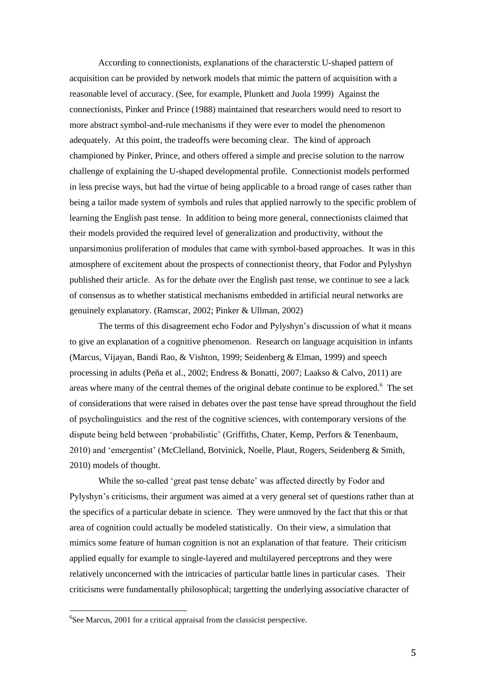According to connectionists, explanations of the characterstic U-shaped pattern of acquisition can be provided by network models that mimic the pattern of acquisition with a reasonable level of accuracy. (See, for example, Plunkett and Juola 1999) Against the connectionists, Pinker and Prince (1988) maintained that researchers would need to resort to more abstract symbol-and-rule mechanisms if they were ever to model the phenomenon adequately. At this point, the tradeoffs were becoming clear. The kind of approach championed by Pinker, Prince, and others offered a simple and precise solution to the narrow challenge of explaining the U-shaped developmental profile. Connectionist models performed in less precise ways, but had the virtue of being applicable to a broad range of cases rather than being a tailor made system of symbols and rules that applied narrowly to the specific problem of learning the English past tense. In addition to being more general, connectionists claimed that their models provided the required level of generalization and productivity, without the unparsimonius proliferation of modules that came with symbol-based approaches. It was in this atmosphere of excitement about the prospects of connectionist theory, that Fodor and Pylyshyn published their article. As for the debate over the English past tense, we continue to see a lack of consensus as to whether statistical mechanisms embedded in artificial neural networks are genuinely explanatory. (Ramscar, 2002; Pinker & Ullman, 2002)

The terms of this disagreement echo Fodor and Pylyshyn's discussion of what it means to give an explanation of a cognitive phenomenon. Research on language acquisition in infants (Marcus, Vijayan, Bandi Rao, & Vishton, 1999; Seidenberg & Elman, 1999) and speech processing in adults (Peña et al., 2002; Endress & Bonatti, 2007; Laakso & Calvo, 2011) are areas where many of the central themes of the original debate continue to be explored.<sup>6</sup> The set of considerations that were raised in debates over the past tense have spread throughout the field of psycholinguistics and the rest of the cognitive sciences, with contemporary versions of the dispute being held between 'probabilistic' (Griffiths, Chater, Kemp, Perfors & Tenenbaum, 2010) and 'emergentist' (McClelland, Botvinick, Noelle, Plaut, Rogers, Seidenberg & Smith, 2010) models of thought.

While the so-called 'great past tense debate' was affected directly by Fodor and Pylyshyn's criticisms, their argument was aimed at a very general set of questions rather than at the specifics of a particular debate in science. They were unmoved by the fact that this or that area of cognition could actually be modeled statistically. On their view, a simulation that mimics some feature of human cognition is not an explanation of that feature. Their criticism applied equally for example to single-layered and multilayered perceptrons and they were relatively unconcerned with the intricacies of particular battle lines in particular cases. Their criticisms were fundamentally philosophical; targetting the underlying associative character of

<sup>&</sup>lt;sup>6</sup>See Marcus, 2001 for a critical appraisal from the classicist perspective.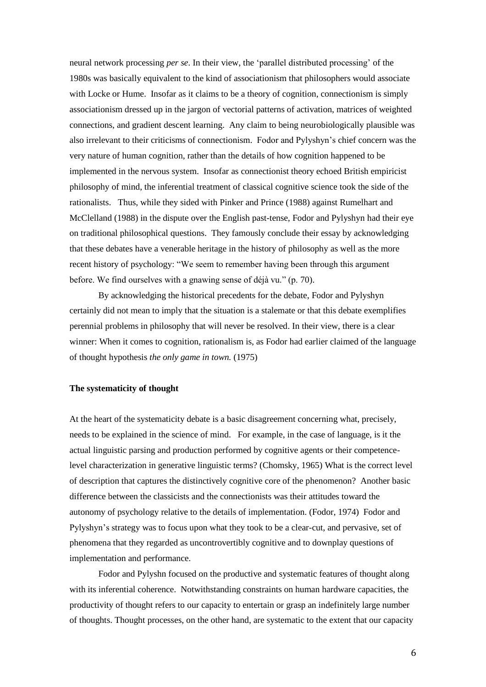neural network processing *per se*. In their view, the 'parallel distributed processing' of the 1980s was basically equivalent to the kind of associationism that philosophers would associate with Locke or Hume. Insofar as it claims to be a theory of cognition, connectionism is simply associationism dressed up in the jargon of vectorial patterns of activation, matrices of weighted connections, and gradient descent learning. Any claim to being neurobiologically plausible was also irrelevant to their criticisms of connectionism. Fodor and Pylyshyn's chief concern was the very nature of human cognition, rather than the details of how cognition happened to be implemented in the nervous system. Insofar as connectionist theory echoed British empiricist philosophy of mind, the inferential treatment of classical cognitive science took the side of the rationalists. Thus, while they sided with Pinker and Prince (1988) against Rumelhart and McClelland (1988) in the dispute over the English past-tense, Fodor and Pylyshyn had their eye on traditional philosophical questions. They famously conclude their essay by acknowledging that these debates have a venerable heritage in the history of philosophy as well as the more recent history of psychology: "We seem to remember having been through this argument before. We find ourselves with a gnawing sense of déjà vu." (p. 70).

By acknowledging the historical precedents for the debate, Fodor and Pylyshyn certainly did not mean to imply that the situation is a stalemate or that this debate exemplifies perennial problems in philosophy that will never be resolved. In their view, there is a clear winner: When it comes to cognition, rationalism is, as Fodor had earlier claimed of the language of thought hypothesis *the only game in town.* (1975)

# **The systematicity of thought**

At the heart of the systematicity debate is a basic disagreement concerning what, precisely, needs to be explained in the science of mind. For example, in the case of language, is it the actual linguistic parsing and production performed by cognitive agents or their competencelevel characterization in generative linguistic terms? (Chomsky, 1965) What is the correct level of description that captures the distinctively cognitive core of the phenomenon? Another basic difference between the classicists and the connectionists was their attitudes toward the autonomy of psychology relative to the details of implementation. (Fodor, 1974) Fodor and Pylyshyn's strategy was to focus upon what they took to be a clear-cut, and pervasive, set of phenomena that they regarded as uncontrovertibly cognitive and to downplay questions of implementation and performance.

Fodor and Pylyshn focused on the productive and systematic features of thought along with its inferential coherence. Notwithstanding constraints on human hardware capacities, the productivity of thought refers to our capacity to entertain or grasp an indefinitely large number of thoughts. Thought processes, on the other hand, are systematic to the extent that our capacity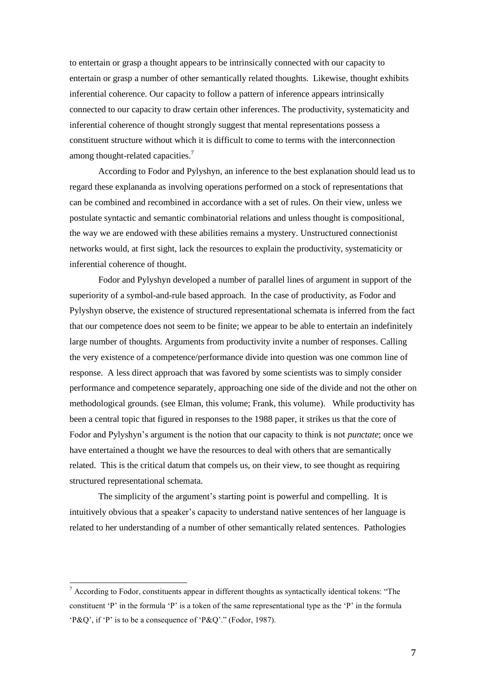to entertain or grasp a thought appears to be intrinsically connected with our capacity to entertain or grasp a number of other semantically related thoughts. Likewise, thought exhibits inferential coherence. Our capacity to follow a pattern of inference appears intrinsically connected to our capacity to draw certain other inferences. The productivity, systematicity and inferential coherence of thought strongly suggest that mental representations possess a constituent structure without which it is difficult to come to terms with the interconnection among thought-related capacities.<sup>7</sup>

According to Fodor and Pylyshyn, an inference to the best explanation should lead us to regard these explananda as involving operations performed on a stock of representations that can be combined and recombined in accordance with a set of rules. On their view, unless we postulate syntactic and semantic combinatorial relations and unless thought is compositional, the way we are endowed with these abilities remains a mystery. Unstructured connectionist networks would, at first sight, lack the resources to explain the productivity, systematicity or inferential coherence of thought.

Fodor and Pylyshyn developed a number of parallel lines of argument in support of the superiority of a symbol-and-rule based approach. In the case of productivity, as Fodor and Pylyshyn observe, the existence of structured representational schemata is inferred from the fact that our competence does not seem to be finite; we appear to be able to entertain an indefinitely large number of thoughts. Arguments from productivity invite a number of responses. Calling the very existence of a competence/performance divide into question was one common line of response. A less direct approach that was favored by some scientists was to simply consider performance and competence separately, approaching one side of the divide and not the other on methodological grounds. (see Elman, this volume; Frank, this volume). While productivity has been a central topic that figured in responses to the 1988 paper, it strikes us that the core of Fodor and Pylyshyn's argument is the notion that our capacity to think is not *punctate*; once we have entertained a thought we have the resources to deal with others that are semantically related. This is the critical datum that compels us, on their view, to see thought as requiring structured representational schemata.

The simplicity of the argument's starting point is powerful and compelling. It is intuitively obvious that a speaker's capacity to understand native sentences of her language is related to her understanding of a number of other semantically related sentences. Pathologies

 $<sup>7</sup>$  According to Fodor, constituents appear in different thoughts as syntactically identical tokens: "The</sup> constituent 'P' in the formula 'P' is a token of the same representational type as the 'P' in the formula 'P&Q', if 'P' is to be a consequence of 'P&Q'." (Fodor, 1987).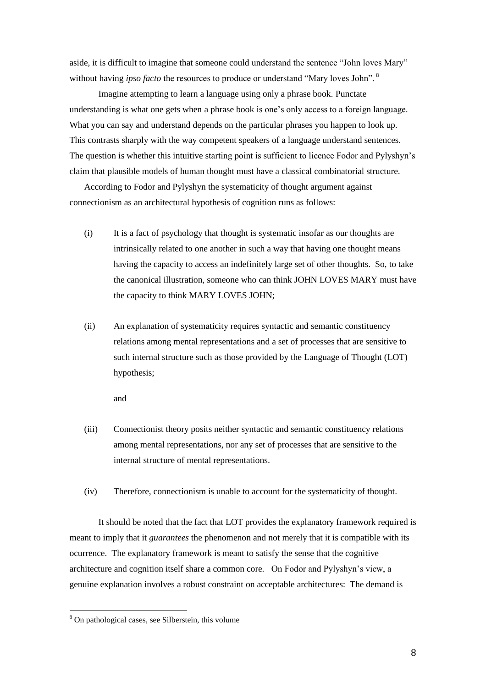aside, it is difficult to imagine that someone could understand the sentence "John loves Mary" without having *ipso facto* the resources to produce or understand "Mary loves John". <sup>8</sup>

Imagine attempting to learn a language using only a phrase book. Punctate understanding is what one gets when a phrase book is one's only access to a foreign language. What you can say and understand depends on the particular phrases you happen to look up. This contrasts sharply with the way competent speakers of a language understand sentences. The question is whether this intuitive starting point is sufficient to licence Fodor and Pylyshyn's claim that plausible models of human thought must have a classical combinatorial structure.

According to Fodor and Pylyshyn the systematicity of thought argument against connectionism as an architectural hypothesis of cognition runs as follows:

- (i) It is a fact of psychology that thought is systematic insofar as our thoughts are intrinsically related to one another in such a way that having one thought means having the capacity to access an indefinitely large set of other thoughts. So, to take the canonical illustration, someone who can think JOHN LOVES MARY must have the capacity to think MARY LOVES JOHN;
- (ii) An explanation of systematicity requires syntactic and semantic constituency relations among mental representations and a set of processes that are sensitive to such internal structure such as those provided by the Language of Thought (LOT) hypothesis;

and

- (iii) Connectionist theory posits neither syntactic and semantic constituency relations among mental representations, nor any set of processes that are sensitive to the internal structure of mental representations.
- (iv) Therefore, connectionism is unable to account for the systematicity of thought.

It should be noted that the fact that LOT provides the explanatory framework required is meant to imply that it *guarantees* the phenomenon and not merely that it is compatible with its ocurrence. The explanatory framework is meant to satisfy the sense that the cognitive architecture and cognition itself share a common core. On Fodor and Pylyshyn's view, a genuine explanation involves a robust constraint on acceptable architectures: The demand is

<sup>&</sup>lt;sup>8</sup> On pathological cases, see Silberstein, this volume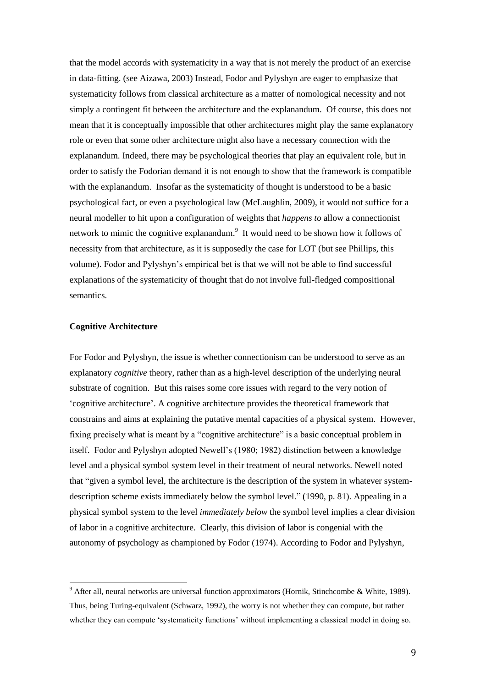that the model accords with systematicity in a way that is not merely the product of an exercise in data-fitting. (see Aizawa, 2003) Instead, Fodor and Pylyshyn are eager to emphasize that systematicity follows from classical architecture as a matter of nomological necessity and not simply a contingent fit between the architecture and the explanandum. Of course, this does not mean that it is conceptually impossible that other architectures might play the same explanatory role or even that some other architecture might also have a necessary connection with the explanandum. Indeed, there may be psychological theories that play an equivalent role, but in order to satisfy the Fodorian demand it is not enough to show that the framework is compatible with the explanandum. Insofar as the systematicity of thought is understood to be a basic psychological fact, or even a psychological law (McLaughlin, 2009), it would not suffice for a neural modeller to hit upon a configuration of weights that *happens to* allow a connectionist network to mimic the cognitive explanandum.<sup>9</sup> It would need to be shown how it follows of necessity from that architecture, as it is supposedly the case for LOT (but see Phillips, this volume). Fodor and Pylyshyn's empirical bet is that we will not be able to find successful explanations of the systematicity of thought that do not involve full-fledged compositional semantics.

## **Cognitive Architecture**

1

For Fodor and Pylyshyn, the issue is whether connectionism can be understood to serve as an explanatory *cognitive* theory, rather than as a high-level description of the underlying neural substrate of cognition. But this raises some core issues with regard to the very notion of 'cognitive architecture'. A cognitive architecture provides the theoretical framework that constrains and aims at explaining the putative mental capacities of a physical system. However, fixing precisely what is meant by a "cognitive architecture" is a basic conceptual problem in itself. Fodor and Pylyshyn adopted Newell's (1980; 1982) distinction between a knowledge level and a physical symbol system level in their treatment of neural networks. Newell noted that "given a symbol level, the architecture is the description of the system in whatever systemdescription scheme exists immediately below the symbol level." (1990, p. 81). Appealing in a physical symbol system to the level *immediately below* the symbol level implies a clear division of labor in a cognitive architecture. Clearly, this division of labor is congenial with the autonomy of psychology as championed by Fodor (1974). According to Fodor and Pylyshyn,

<sup>&</sup>lt;sup>9</sup> After all, neural networks are universal function approximators (Hornik, Stinchcombe & White, 1989). Thus, being Turing-equivalent (Schwarz, 1992), the worry is not whether they can compute, but rather whether they can compute 'systematicity functions' without implementing a classical model in doing so.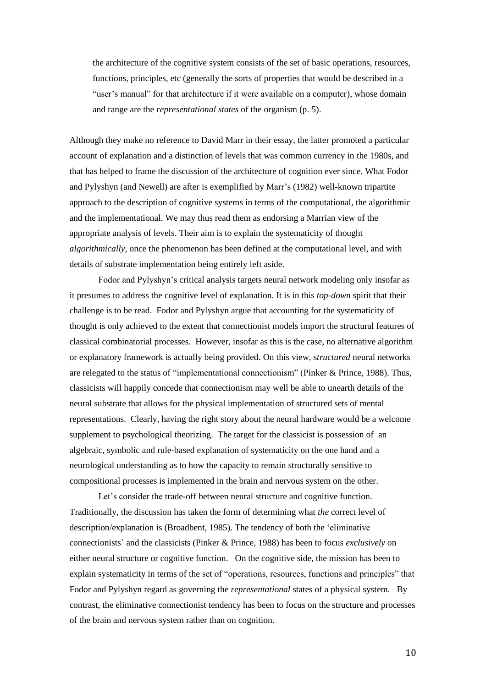the architecture of the cognitive system consists of the set of basic operations, resources, functions, principles, etc (generally the sorts of properties that would be described in a "user's manual" for that architecture if it were available on a computer), whose domain and range are the *representational states* of the organism (p. 5).

Although they make no reference to David Marr in their essay, the latter promoted a particular account of explanation and a distinction of levels that was common currency in the 1980s, and that has helped to frame the discussion of the architecture of cognition ever since. What Fodor and Pylyshyn (and Newell) are after is exemplified by Marr's (1982) well-known tripartite approach to the description of cognitive systems in terms of the computational, the algorithmic and the implementational. We may thus read them as endorsing a Marrian view of the appropriate analysis of levels. Their aim is to explain the systematicity of thought *algorithmically*, once the phenomenon has been defined at the computational level, and with details of substrate implementation being entirely left aside.

Fodor and Pylyshyn's critical analysis targets neural network modeling only insofar as it presumes to address the cognitive level of explanation. It is in this *top-down* spirit that their challenge is to be read. Fodor and Pylyshyn argue that accounting for the systematicity of thought is only achieved to the extent that connectionist models import the structural features of classical combinatorial processes. However, insofar as this is the case, no alternative algorithm or explanatory framework is actually being provided. On this view, s*tructured* neural networks are relegated to the status of "implementational connectionism" (Pinker & Prince, 1988). Thus, classicists will happily concede that connectionism may well be able to unearth details of the neural substrate that allows for the physical implementation of structured sets of mental representations. Clearly, having the right story about the neural hardware would be a welcome supplement to psychological theorizing. The target for the classicist is possession of an algebraic, symbolic and rule-based explanation of systematicity on the one hand and a neurological understanding as to how the capacity to remain structurally sensitive to compositional processes is implemented in the brain and nervous system on the other.

Let's consider the trade-off between neural structure and cognitive function. Traditionally, the discussion has taken the form of determining what *the* correct level of description/explanation is (Broadbent, 1985). The tendency of both the 'eliminative connectionists' and the classicists (Pinker & Prince, 1988) has been to focus *exclusively* on either neural structure or cognitive function. On the cognitive side, the mission has been to explain systematicity in terms of the set of "operations, resources, functions and principles" that Fodor and Pylyshyn regard as governing the *representational* states of a physical system. By contrast, the eliminative connectionist tendency has been to focus on the structure and processes of the brain and nervous system rather than on cognition.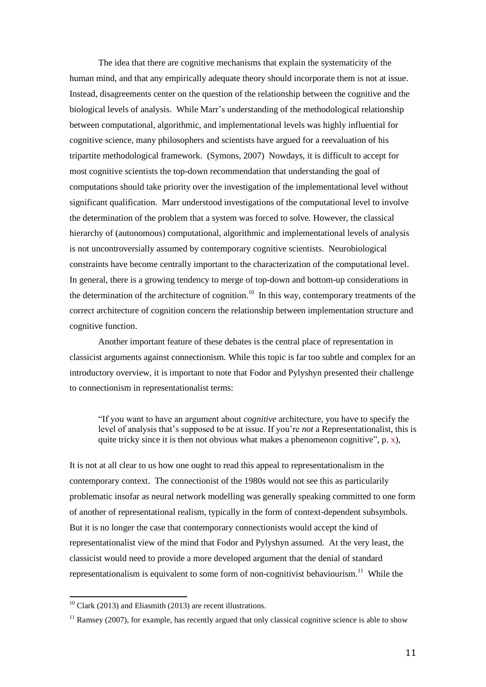The idea that there are cognitive mechanisms that explain the systematicity of the human mind, and that any empirically adequate theory should incorporate them is not at issue. Instead, disagreements center on the question of the relationship between the cognitive and the biological levels of analysis. While Marr's understanding of the methodological relationship between computational, algorithmic, and implementational levels was highly influential for cognitive science, many philosophers and scientists have argued for a reevaluation of his tripartite methodological framework. (Symons, 2007) Nowdays, it is difficult to accept for most cognitive scientists the top-down recommendation that understanding the goal of computations should take priority over the investigation of the implementational level without significant qualification. Marr understood investigations of the computational level to involve the determination of the problem that a system was forced to solve. However, the classical hierarchy of (autonomous) computational, algorithmic and implementational levels of analysis is not uncontroversially assumed by contemporary cognitive scientists. Neurobiological constraints have become centrally important to the characterization of the computational level. In general, there is a growing tendency to merge of top-down and bottom-up considerations in the determination of the architecture of cognition.<sup>10</sup> In this way, contemporary treatments of the correct architecture of cognition concern the relationship between implementation structure and cognitive function.

Another important feature of these debates is the central place of representation in classicist arguments against connectionism. While this topic is far too subtle and complex for an introductory overview, it is important to note that Fodor and Pylyshyn presented their challenge to connectionism in representationalist terms:

"If you want to have an argument about *cognitive* architecture, you have to specify the level of analysis that's supposed to be at issue. If you're *not* a Representationalist, this is quite tricky since it is then not obvious what makes a phenomenon cognitive",  $p. x$ ),

It is not at all clear to us how one ought to read this appeal to representationalism in the contemporary context. The connectionist of the 1980s would not see this as particularily problematic insofar as neural network modelling was generally speaking committed to one form of another of representational realism, typically in the form of context-dependent subsymbols. But it is no longer the case that contemporary connectionists would accept the kind of representationalist view of the mind that Fodor and Pylyshyn assumed. At the very least, the classicist would need to provide a more developed argument that the denial of standard representationalism is equivalent to some form of non-cognitivist behaviourism.<sup>11</sup> While the

 $10$  Clark (2013) and Eliasmith (2013) are recent illustrations.

 $11$  Ramsey (2007), for example, has recently argued that only classical cognitive science is able to show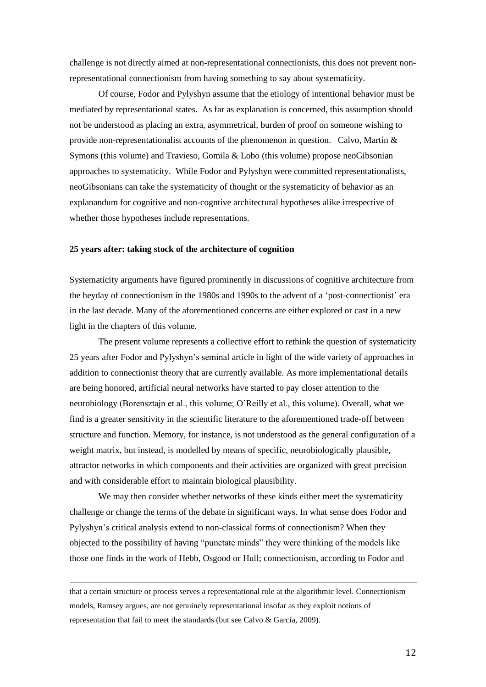challenge is not directly aimed at non-representational connectionists, this does not prevent nonrepresentational connectionism from having something to say about systematicity.

Of course, Fodor and Pylyshyn assume that the etiology of intentional behavior must be mediated by representational states. As far as explanation is concerned, this assumption should not be understood as placing an extra, asymmetrical, burden of proof on someone wishing to provide non-representationalist accounts of the phenomenon in question. Calvo, Martín  $\&$ Symons (this volume) and Travieso, Gomila & Lobo (this volume) propose neoGibsonian approaches to systematicity. While Fodor and Pylyshyn were committed representationalists, neoGibsonians can take the systematicity of thought or the systematicity of behavior as an explanandum for cognitive and non-cogntive architectural hypotheses alike irrespective of whether those hypotheses include representations.

#### **25 years after: taking stock of the architecture of cognition**

Systematicity arguments have figured prominently in discussions of cognitive architecture from the heyday of connectionism in the 1980s and 1990s to the advent of a 'post-connectionist' era in the last decade. Many of the aforementioned concerns are either explored or cast in a new light in the chapters of this volume.

The present volume represents a collective effort to rethink the question of systematicity 25 years after Fodor and Pylyshyn's seminal article in light of the wide variety of approaches in addition to connectionist theory that are currently available. As more implementational details are being honored, artificial neural networks have started to pay closer attention to the neurobiology (Borensztajn et al., this volume; O'Reilly et al., this volume). Overall, what we find is a greater sensitivity in the scientific literature to the aforementioned trade-off between structure and function. Memory, for instance, is not understood as the general configuration of a weight matrix, but instead, is modelled by means of specific, neurobiologically plausible, attractor networks in which components and their activities are organized with great precision and with considerable effort to maintain biological plausibility.

We may then consider whether networks of these kinds either meet the systematicity challenge or change the terms of the debate in significant ways. In what sense does Fodor and Pylyshyn's critical analysis extend to non-classical forms of connectionism? When they objected to the possibility of having "punctate minds" they were thinking of the models like those one finds in the work of Hebb, Osgood or Hull; connectionism, according to Fodor and

that a certain structure or process serves a representational role at the algorithmic level. Connectionism models, Ramsey argues, are not genuinely representational insofar as they exploit notions of representation that fail to meet the standards (but see Calvo & García, 2009).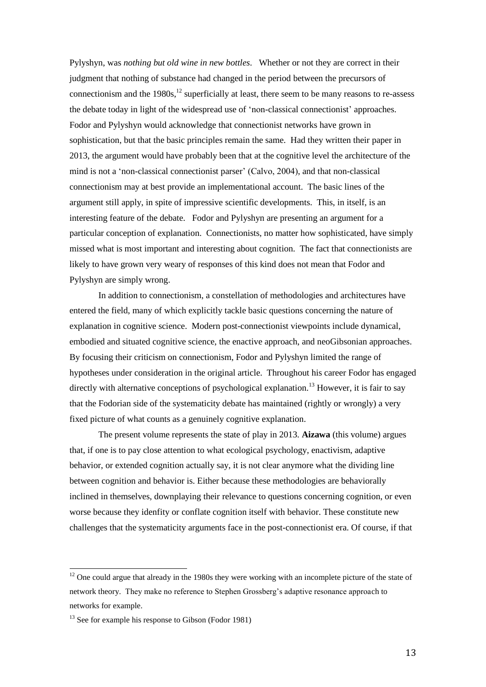Pylyshyn, was *nothing but old wine in new bottles*. Whether or not they are correct in their judgment that nothing of substance had changed in the period between the precursors of connectionism and the  $1980s$ ,<sup>12</sup> superficially at least, there seem to be many reasons to re-assess the debate today in light of the widespread use of 'non-classical connectionist' approaches. Fodor and Pylyshyn would acknowledge that connectionist networks have grown in sophistication, but that the basic principles remain the same. Had they written their paper in 2013, the argument would have probably been that at the cognitive level the architecture of the mind is not a 'non-classical connectionist parser' (Calvo, 2004), and that non-classical connectionism may at best provide an implementational account. The basic lines of the argument still apply, in spite of impressive scientific developments. This, in itself, is an interesting feature of the debate. Fodor and Pylyshyn are presenting an argument for a particular conception of explanation. Connectionists, no matter how sophisticated, have simply missed what is most important and interesting about cognition. The fact that connectionists are likely to have grown very weary of responses of this kind does not mean that Fodor and Pylyshyn are simply wrong.

In addition to connectionism, a constellation of methodologies and architectures have entered the field, many of which explicitly tackle basic questions concerning the nature of explanation in cognitive science. Modern post-connectionist viewpoints include dynamical, embodied and situated cognitive science, the enactive approach, and neoGibsonian approaches. By focusing their criticism on connectionism, Fodor and Pylyshyn limited the range of hypotheses under consideration in the original article. Throughout his career Fodor has engaged directly with alternative conceptions of psychological explanation.<sup>13</sup> However, it is fair to say that the Fodorian side of the systematicity debate has maintained (rightly or wrongly) a very fixed picture of what counts as a genuinely cognitive explanation.

The present volume represents the state of play in 2013. **Aizawa** (this volume) argues that, if one is to pay close attention to what ecological psychology, enactivism, adaptive behavior, or extended cognition actually say, it is not clear anymore what the dividing line between cognition and behavior is. Either because these methodologies are behaviorally inclined in themselves, downplaying their relevance to questions concerning cognition, or even worse because they idenfity or conflate cognition itself with behavior. These constitute new challenges that the systematicity arguments face in the post-connectionist era. Of course, if that

 $12$  One could argue that already in the 1980s they were working with an incomplete picture of the state of network theory. They make no reference to Stephen Grossberg's adaptive resonance approach to networks for example.

 $13$  See for example his response to Gibson (Fodor 1981)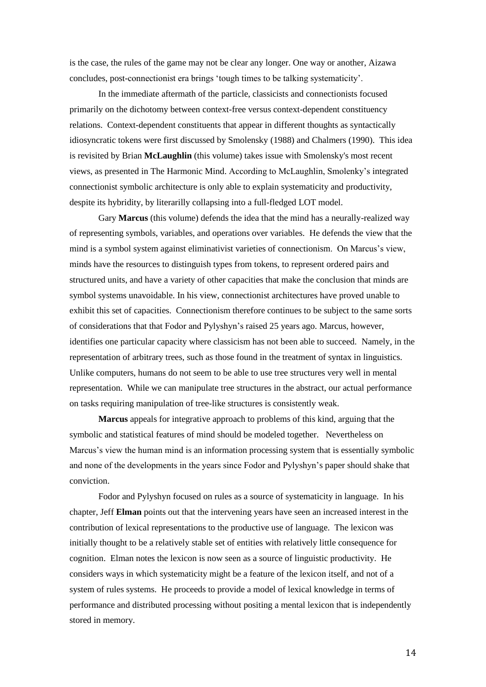is the case, the rules of the game may not be clear any longer. One way or another, Aizawa concludes, post-connectionist era brings 'tough times to be talking systematicity'.

In the immediate aftermath of the particle, classicists and connectionists focused primarily on the dichotomy between context-free versus context-dependent constituency relations. Context-dependent constituents that appear in different thoughts as syntactically idiosyncratic tokens were first discussed by Smolensky (1988) and Chalmers (1990). This idea is revisited by Brian **McLaughlin** (this volume) takes issue with Smolensky's most recent views, as presented in The Harmonic Mind. According to McLaughlin, Smolenky's integrated connectionist symbolic architecture is only able to explain systematicity and productivity, despite its hybridity, by literarilly collapsing into a full-fledged LOT model.

Gary **Marcus** (this volume) defends the idea that the mind has a neurally-realized way of representing symbols, variables, and operations over variables. He defends the view that the mind is a symbol system against eliminativist varieties of connectionism. On Marcus's view, minds have the resources to distinguish types from tokens, to represent ordered pairs and structured units, and have a variety of other capacities that make the conclusion that minds are symbol systems unavoidable. In his view, connectionist architectures have proved unable to exhibit this set of capacities. Connectionism therefore continues to be subject to the same sorts of considerations that that Fodor and Pylyshyn's raised 25 years ago. Marcus, however, identifies one particular capacity where classicism has not been able to succeed. Namely, in the representation of arbitrary trees, such as those found in the treatment of syntax in linguistics. Unlike computers, humans do not seem to be able to use tree structures very well in mental representation. While we can manipulate tree structures in the abstract, our actual performance on tasks requiring manipulation of tree-like structures is consistently weak.

**Marcus** appeals for integrative approach to problems of this kind, arguing that the symbolic and statistical features of mind should be modeled together. Nevertheless on Marcus's view the human mind is an information processing system that is essentially symbolic and none of the developments in the years since Fodor and Pylyshyn's paper should shake that conviction.

Fodor and Pylyshyn focused on rules as a source of systematicity in language. In his chapter, Jeff **Elman** points out that the intervening years have seen an increased interest in the contribution of lexical representations to the productive use of language. The lexicon was initially thought to be a relatively stable set of entities with relatively little consequence for cognition. Elman notes the lexicon is now seen as a source of linguistic productivity. He considers ways in which systematicity might be a feature of the lexicon itself, and not of a system of rules systems. He proceeds to provide a model of lexical knowledge in terms of performance and distributed processing without positing a mental lexicon that is independently stored in memory.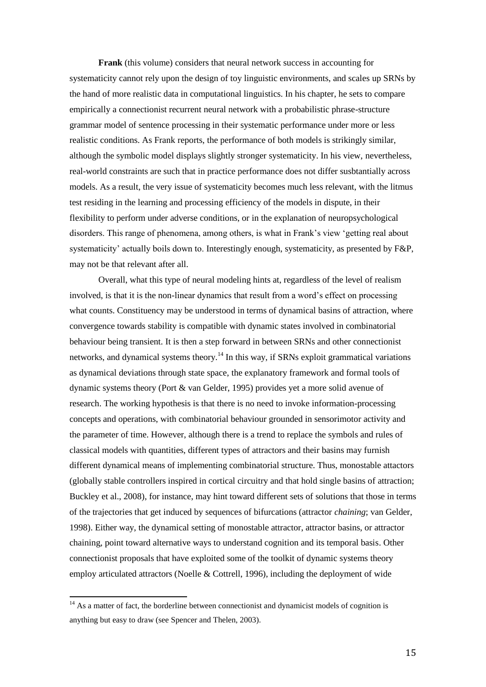**Frank** (this volume) considers that neural network success in accounting for systematicity cannot rely upon the design of toy linguistic environments, and scales up SRNs by the hand of more realistic data in computational linguistics. In his chapter, he sets to compare empirically a connectionist recurrent neural network with a probabilistic phrase-structure grammar model of sentence processing in their systematic performance under more or less realistic conditions. As Frank reports, the performance of both models is strikingly similar, although the symbolic model displays slightly stronger systematicity. In his view, nevertheless, real-world constraints are such that in practice performance does not differ susbtantially across models. As a result, the very issue of systematicity becomes much less relevant, with the litmus test residing in the learning and processing efficiency of the models in dispute, in their flexibility to perform under adverse conditions, or in the explanation of neuropsychological disorders. This range of phenomena, among others, is what in Frank's view 'getting real about systematicity' actually boils down to. Interestingly enough, systematicity, as presented by F&P, may not be that relevant after all.

Overall, what this type of neural modeling hints at, regardless of the level of realism involved, is that it is the non-linear dynamics that result from a word's effect on processing what counts. Constituency may be understood in terms of dynamical basins of attraction, where convergence towards stability is compatible with dynamic states involved in combinatorial behaviour being transient. It is then a step forward in between SRNs and other connectionist networks, and dynamical systems theory.<sup>14</sup> In this way, if SRNs exploit grammatical variations as dynamical deviations through state space, the explanatory framework and formal tools of dynamic systems theory (Port & van Gelder, 1995) provides yet a more solid avenue of research. The working hypothesis is that there is no need to invoke information-processing concepts and operations, with combinatorial behaviour grounded in sensorimotor activity and the parameter of time. However, although there is a trend to replace the symbols and rules of classical models with quantities, different types of attractors and their basins may furnish different dynamical means of implementing combinatorial structure. Thus, monostable attactors (globally stable controllers inspired in cortical circuitry and that hold single basins of attraction; Buckley et al., 2008), for instance, may hint toward different sets of solutions that those in terms of the trajectories that get induced by sequences of bifurcations (attractor *chaining*; van Gelder, 1998). Either way, the dynamical setting of monostable attractor, attractor basins, or attractor chaining, point toward alternative ways to understand cognition and its temporal basis. Other connectionist proposals that have exploited some of the toolkit of dynamic systems theory employ articulated attractors (Noelle & Cottrell, 1996), including the deployment of wide

 $14$  As a matter of fact, the borderline between connectionist and dynamicist models of cognition is anything but easy to draw (see Spencer and Thelen, 2003).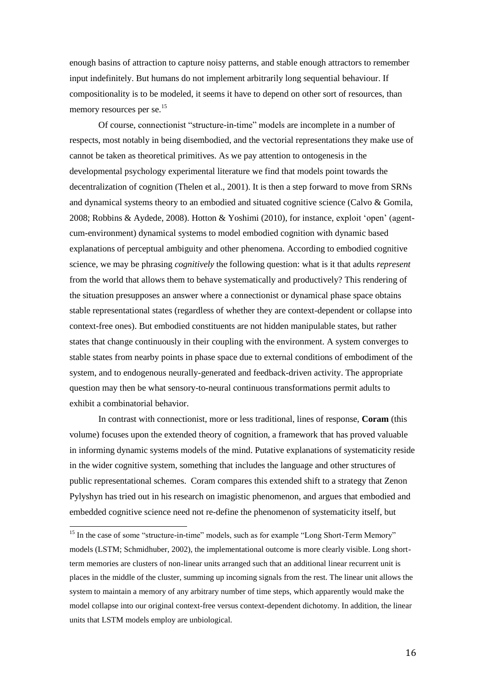enough basins of attraction to capture noisy patterns, and stable enough attractors to remember input indefinitely. But humans do not implement arbitrarily long sequential behaviour. If compositionality is to be modeled, it seems it have to depend on other sort of resources, than memory resources per se.<sup>15</sup>

Of course, connectionist "structure-in-time" models are incomplete in a number of respects, most notably in being disembodied, and the vectorial representations they make use of cannot be taken as theoretical primitives. As we pay attention to ontogenesis in the developmental psychology experimental literature we find that models point towards the decentralization of cognition (Thelen et al., 2001). It is then a step forward to move from SRNs and dynamical systems theory to an embodied and situated cognitive science (Calvo & Gomila, 2008; Robbins & Aydede, 2008). Hotton & Yoshimi (2010), for instance, exploit 'open' (agentcum-environment) dynamical systems to model embodied cognition with dynamic based explanations of perceptual ambiguity and other phenomena. According to embodied cognitive science, we may be phrasing *cognitively* the following question: what is it that adults *represent* from the world that allows them to behave systematically and productively? This rendering of the situation presupposes an answer where a connectionist or dynamical phase space obtains stable representational states (regardless of whether they are context-dependent or collapse into context-free ones). But embodied constituents are not hidden manipulable states, but rather states that change continuously in their coupling with the environment. A system converges to stable states from nearby points in phase space due to external conditions of embodiment of the system, and to endogenous neurally-generated and feedback-driven activity. The appropriate question may then be what sensory-to-neural continuous transformations permit adults to exhibit a combinatorial behavior.

In contrast with connectionist, more or less traditional, lines of response, **Coram** (this volume) focuses upon the extended theory of cognition, a framework that has proved valuable in informing dynamic systems models of the mind. Putative explanations of systematicity reside in the wider cognitive system, something that includes the language and other structures of public representational schemes. Coram compares this extended shift to a strategy that Zenon Pylyshyn has tried out in his research on imagistic phenomenon, and argues that embodied and embedded cognitive science need not re-define the phenomenon of systematicity itself, but

<sup>&</sup>lt;sup>15</sup> In the case of some "structure-in-time" models, such as for example "Long Short-Term Memory" models (LSTM; Schmidhuber, 2002), the implementational outcome is more clearly visible. Long shortterm memories are clusters of non-linear units arranged such that an additional linear recurrent unit is places in the middle of the cluster, summing up incoming signals from the rest. The linear unit allows the system to maintain a memory of any arbitrary number of time steps, which apparently would make the model collapse into our original context-free versus context-dependent dichotomy. In addition, the linear units that LSTM models employ are unbiological.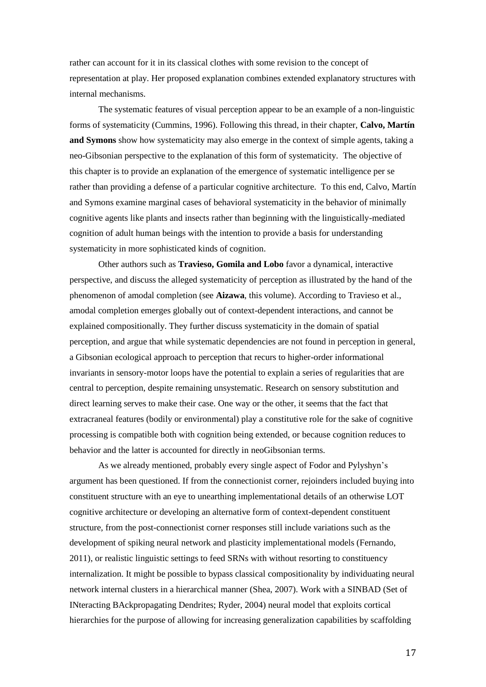rather can account for it in its classical clothes with some revision to the concept of representation at play. Her proposed explanation combines extended explanatory structures with internal mechanisms.

The systematic features of visual perception appear to be an example of a non-linguistic forms of systematicity (Cummins, 1996). Following this thread, in their chapter, **Calvo, Martín and Symons** show how systematicity may also emerge in the context of simple agents, taking a neo-Gibsonian perspective to the explanation of this form of systematicity. The objective of this chapter is to provide an explanation of the emergence of systematic intelligence per se rather than providing a defense of a particular cognitive architecture. To this end, Calvo, Martín and Symons examine marginal cases of behavioral systematicity in the behavior of minimally cognitive agents like plants and insects rather than beginning with the linguistically-mediated cognition of adult human beings with the intention to provide a basis for understanding systematicity in more sophisticated kinds of cognition.

Other authors such as **Travieso, Gomila and Lobo** favor a dynamical, interactive perspective, and discuss the alleged systematicity of perception as illustrated by the hand of the phenomenon of amodal completion (see **Aizawa**, this volume). According to Travieso et al., amodal completion emerges globally out of context-dependent interactions, and cannot be explained compositionally. They further discuss systematicity in the domain of spatial perception, and argue that while systematic dependencies are not found in perception in general, a Gibsonian ecological approach to perception that recurs to higher-order informational invariants in sensory-motor loops have the potential to explain a series of regularities that are central to perception, despite remaining unsystematic. Research on sensory substitution and direct learning serves to make their case. One way or the other, it seems that the fact that extracraneal features (bodily or environmental) play a constitutive role for the sake of cognitive processing is compatible both with cognition being extended, or because cognition reduces to behavior and the latter is accounted for directly in neoGibsonian terms.

As we already mentioned, probably every single aspect of Fodor and Pylyshyn's argument has been questioned. If from the connectionist corner, rejoinders included buying into constituent structure with an eye to unearthing implementational details of an otherwise LOT cognitive architecture or developing an alternative form of context-dependent constituent structure, from the post-connectionist corner responses still include variations such as the development of spiking neural network and plasticity implementational models (Fernando, 2011), or realistic linguistic settings to feed SRNs with without resorting to constituency internalization. It might be possible to bypass classical compositionality by individuating neural network internal clusters in a hierarchical manner (Shea, 2007). Work with a SINBAD (Set of INteracting BAckpropagating Dendrites; Ryder, 2004) neural model that exploits cortical hierarchies for the purpose of allowing for increasing generalization capabilities by scaffolding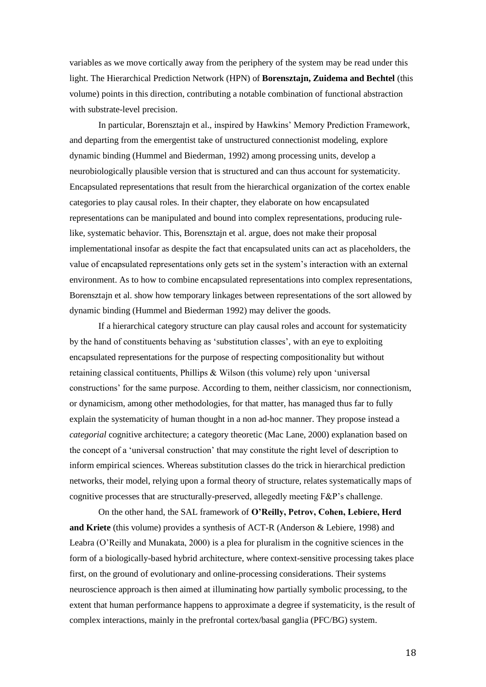variables as we move cortically away from the periphery of the system may be read under this light. The Hierarchical Prediction Network (HPN) of **Borensztajn, Zuidema and Bechtel** (this volume) points in this direction, contributing a notable combination of functional abstraction with substrate-level precision.

In particular, Borensztajn et al., inspired by Hawkins' Memory Prediction Framework, and departing from the emergentist take of unstructured connectionist modeling, explore dynamic binding (Hummel and Biederman, 1992) among processing units, develop a neurobiologically plausible version that is structured and can thus account for systematicity. Encapsulated representations that result from the hierarchical organization of the cortex enable categories to play causal roles. In their chapter, they elaborate on how encapsulated representations can be manipulated and bound into complex representations, producing rulelike, systematic behavior. This, Borensztajn et al. argue, does not make their proposal implementational insofar as despite the fact that encapsulated units can act as placeholders, the value of encapsulated representations only gets set in the system's interaction with an external environment. As to how to combine encapsulated representations into complex representations, Borensztajn et al. show how temporary linkages between representations of the sort allowed by dynamic binding (Hummel and Biederman 1992) may deliver the goods.

If a hierarchical category structure can play causal roles and account for systematicity by the hand of constituents behaving as 'substitution classes', with an eye to exploiting encapsulated representations for the purpose of respecting compositionality but without retaining classical contituents, Phillips & Wilson (this volume) rely upon 'universal constructions' for the same purpose. According to them, neither classicism, nor connectionism, or dynamicism, among other methodologies, for that matter, has managed thus far to fully explain the systematicity of human thought in a non ad-hoc manner. They propose instead a *categorial* cognitive architecture; a category theoretic (Mac Lane, 2000) explanation based on the concept of a 'universal construction' that may constitute the right level of description to inform empirical sciences. Whereas substitution classes do the trick in hierarchical prediction networks, their model, relying upon a formal theory of structure, relates systematically maps of cognitive processes that are structurally-preserved, allegedly meeting F&P's challenge.

On the other hand, the SAL framework of **O'Reilly, Petrov, Cohen, Lebiere, Herd and Kriete** (this volume) provides a synthesis of ACT-R (Anderson & Lebiere, 1998) and Leabra (O'Reilly and Munakata, 2000) is a plea for pluralism in the cognitive sciences in the form of a biologically-based hybrid architecture, where context-sensitive processing takes place first, on the ground of evolutionary and online-processing considerations. Their systems neuroscience approach is then aimed at illuminating how partially symbolic processing, to the extent that human performance happens to approximate a degree if systematicity, is the result of complex interactions, mainly in the prefrontal cortex/basal ganglia (PFC/BG) system.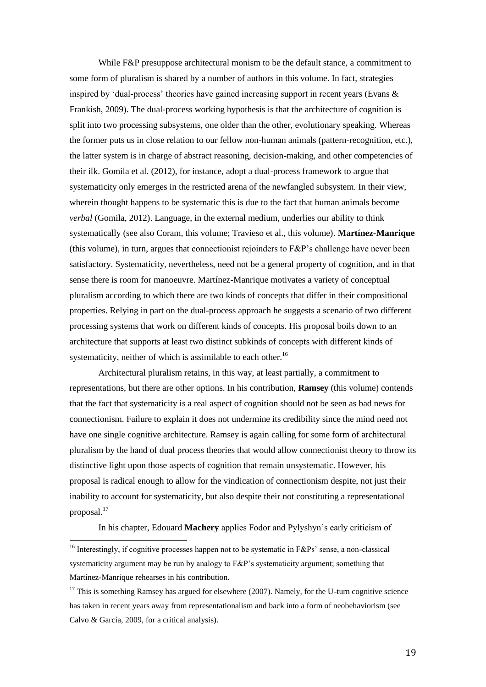While F&P presuppose architectural monism to be the default stance, a commitment to some form of pluralism is shared by a number of authors in this volume. In fact, strategies inspired by 'dual-process' theories have gained increasing support in recent years (Evans & Frankish, 2009). The dual-process working hypothesis is that the architecture of cognition is split into two processing subsystems, one older than the other, evolutionary speaking. Whereas the former puts us in close relation to our fellow non-human animals (pattern-recognition, etc.), the latter system is in charge of abstract reasoning, decision-making, and other competencies of their ilk. Gomila et al. (2012), for instance, adopt a dual-process framework to argue that systematicity only emerges in the restricted arena of the newfangled subsystem. In their view, wherein thought happens to be systematic this is due to the fact that human animals become *verbal* (Gomila, 2012). Language, in the external medium, underlies our ability to think systematically (see also Coram, this volume; Travieso et al., this volume). **Martínez-Manrique** (this volume), in turn, argues that connectionist rejoinders to F&P's challenge have never been satisfactory. Systematicity, nevertheless, need not be a general property of cognition, and in that sense there is room for manoeuvre. Martínez-Manrique motivates a variety of conceptual pluralism according to which there are two kinds of concepts that differ in their compositional properties. Relying in part on the dual-process approach he suggests a scenario of two different processing systems that work on different kinds of concepts. His proposal boils down to an architecture that supports at least two distinct subkinds of concepts with different kinds of systematicity, neither of which is assimilable to each other.<sup>16</sup>

Architectural pluralism retains, in this way, at least partially, a commitment to representations, but there are other options. In his contribution, **Ramsey** (this volume) contends that the fact that systematicity is a real aspect of cognition should not be seen as bad news for connectionism. Failure to explain it does not undermine its credibility since the mind need not have one single cognitive architecture. Ramsey is again calling for some form of architectural pluralism by the hand of dual process theories that would allow connectionist theory to throw its distinctive light upon those aspects of cognition that remain unsystematic. However, his proposal is radical enough to allow for the vindication of connectionism despite, not just their inability to account for systematicity, but also despite their not constituting a representational proposal. $^{17}$ 

In his chapter, Edouard **Machery** applies Fodor and Pylyshyn's early criticism of

<sup>&</sup>lt;sup>16</sup> Interestingly, if cognitive processes happen not to be systematic in  $F\&Ps'$  sense, a non-classical systematicity argument may be run by analogy to F&P's systematicity argument; something that Martínez-Manrique rehearses in his contribution.

 $17$  This is something Ramsey has argued for elsewhere (2007). Namely, for the U-turn cognitive science has taken in recent years away from representationalism and back into a form of neobehaviorism (see Calvo & García, 2009, for a critical analysis).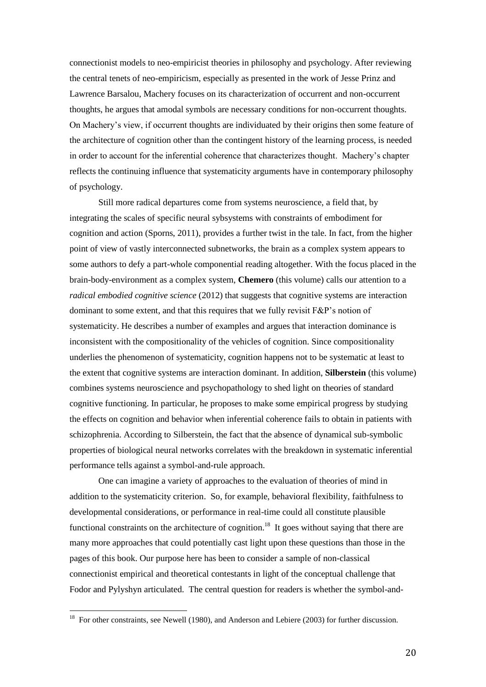connectionist models to neo-empiricist theories in philosophy and psychology. After reviewing the central tenets of neo-empiricism, especially as presented in the work of Jesse Prinz and Lawrence Barsalou, Machery focuses on its characterization of occurrent and non-occurrent thoughts, he argues that amodal symbols are necessary conditions for non-occurrent thoughts. On Machery's view, if occurrent thoughts are individuated by their origins then some feature of the architecture of cognition other than the contingent history of the learning process, is needed in order to account for the inferential coherence that characterizes thought. Machery's chapter reflects the continuing influence that systematicity arguments have in contemporary philosophy of psychology.

Still more radical departures come from systems neuroscience, a field that, by integrating the scales of specific neural sybsystems with constraints of embodiment for cognition and action (Sporns, 2011), provides a further twist in the tale. In fact, from the higher point of view of vastly interconnected subnetworks, the brain as a complex system appears to some authors to defy a part-whole componential reading altogether. With the focus placed in the brain-body-environment as a complex system, **Chemero** (this volume) calls our attention to a *radical embodied cognitive science* (2012) that suggests that cognitive systems are interaction dominant to some extent, and that this requires that we fully revisit F&P's notion of systematicity. He describes a number of examples and argues that interaction dominance is inconsistent with the compositionality of the vehicles of cognition. Since compositionality underlies the phenomenon of systematicity, cognition happens not to be systematic at least to the extent that cognitive systems are interaction dominant. In addition, **Silberstein** (this volume) combines systems neuroscience and psychopathology to shed light on theories of standard cognitive functioning. In particular, he proposes to make some empirical progress by studying the effects on cognition and behavior when inferential coherence fails to obtain in patients with schizophrenia. According to Silberstein, the fact that the absence of dynamical sub-symbolic properties of biological neural networks correlates with the breakdown in systematic inferential performance tells against a symbol-and-rule approach.

One can imagine a variety of approaches to the evaluation of theories of mind in addition to the systematicity criterion. So, for example, behavioral flexibility, faithfulness to developmental considerations, or performance in real-time could all constitute plausible functional constraints on the architecture of cognition.<sup>18</sup> It goes without saying that there are many more approaches that could potentially cast light upon these questions than those in the pages of this book. Our purpose here has been to consider a sample of non-classical connectionist empirical and theoretical contestants in light of the conceptual challenge that Fodor and Pylyshyn articulated. The central question for readers is whether the symbol-and-

<sup>&</sup>lt;sup>18</sup> For other constraints, see Newell (1980), and Anderson and Lebiere (2003) for further discussion.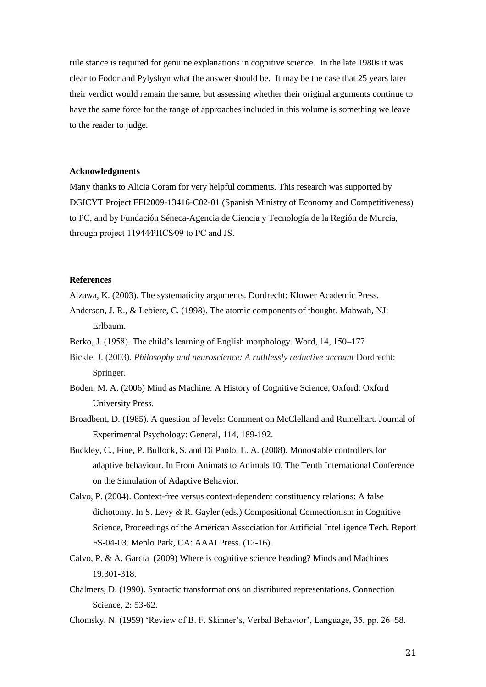rule stance is required for genuine explanations in cognitive science. In the late 1980s it was clear to Fodor and Pylyshyn what the answer should be. It may be the case that 25 years later their verdict would remain the same, but assessing whether their original arguments continue to have the same force for the range of approaches included in this volume is something we leave to the reader to judge.

#### **Acknowledgments**

Many thanks to Alicia Coram for very helpful comments. This research was supported by DGICYT Project FFI2009-13416-C02-01 (Spanish Ministry of Economy and Competitiveness) to PC, and by Fundación Séneca-Agencia de Ciencia y Tecnología de la Región de Murcia, through project 11944⁄PHCS⁄09 to PC and JS.

### **References**

Aizawa, K. (2003). The systematicity arguments. Dordrecht: Kluwer Academic Press.

- Anderson, J. R., & Lebiere, C. (1998). The atomic components of thought. Mahwah, NJ: Erlbaum.
- Berko, J. (1958). The child's learning of English morphology. Word, 14, 150–177
- Bickle, J. (2003). *Philosophy and neuroscience: A ruthlessly reductive account Dordrecht:* Springer.
- Boden, M. A. (2006) Mind as Machine: A History of Cognitive Science, Oxford: Oxford University Press.
- Broadbent, D. (1985). A question of levels: Comment on McClelland and Rumelhart. Journal of Experimental Psychology: General, 114, 189-192.
- Buckley, C., Fine, P. Bullock, S. and Di Paolo, E. A. (2008). Monostable controllers for adaptive behaviour. In From Animats to Animals 10, The Tenth International Conference on the Simulation of Adaptive Behavior.
- Calvo, P. (2004). Context-free versus context-dependent constituency relations: A false dichotomy. In S. Levy & R. Gayler (eds.) Compositional Connectionism in Cognitive Science, Proceedings of the American Association for Artificial Intelligence Tech. Report FS-04-03. Menlo Park, CA: AAAI Press. (12-16).
- Calvo, P. & A. García (2009) Where is cognitive science heading? Minds and Machines 19:301-318.
- Chalmers, D. (1990). Syntactic transformations on distributed representations. Connection Science, 2: 53-62.
- Chomsky, N. (1959) 'Review of B. F. Skinner's, Verbal Behavior', Language, 35, pp. 26–58.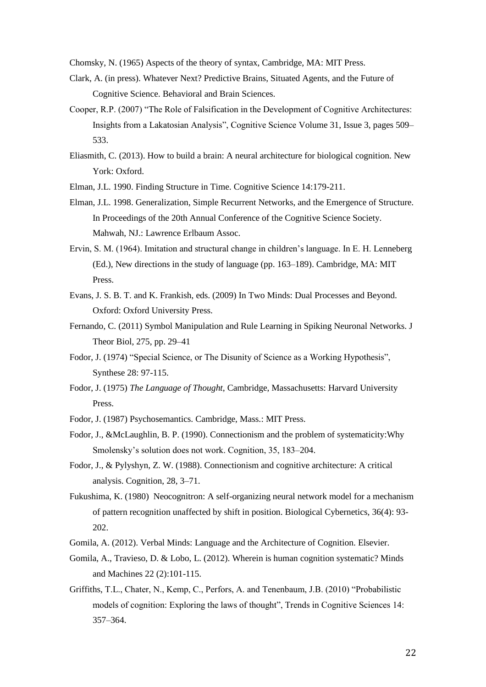Chomsky, N. (1965) Aspects of the theory of syntax, Cambridge, MA: MIT Press.

- Clark, A. (in press). Whatever Next? Predictive Brains, Situated Agents, and the Future of Cognitive Science. Behavioral and Brain Sciences.
- Cooper, R.P. (2007) "The Role of Falsification in the Development of Cognitive Architectures: Insights from a Lakatosian Analysis", Cognitive Science Volume 31, Issue 3, pages 509– 533.
- Eliasmith, C. (2013). How to build a brain: A neural architecture for biological cognition. New York: Oxford.
- Elman, J.L. 1990. Finding Structure in Time. Cognitive Science 14:179-211.
- Elman, J.L. 1998. Generalization, Simple Recurrent Networks, and the Emergence of Structure. In Proceedings of the 20th Annual Conference of the Cognitive Science Society. Mahwah, NJ.: Lawrence Erlbaum Assoc.
- Ervin, S. M. (1964). Imitation and structural change in children's language. In E. H. Lenneberg (Ed.), New directions in the study of language (pp. 163–189). Cambridge, MA: MIT Press.
- Evans, J. S. B. T. and K. Frankish, eds. (2009) In Two Minds: Dual Processes and Beyond. Oxford: Oxford University Press.
- Fernando, C. (2011) Symbol Manipulation and Rule Learning in Spiking Neuronal Networks. J Theor Biol, 275, pp. 29–41
- Fodor, J. (1974) "Special Science, or The Disunity of Science as a Working Hypothesis", Synthese 28: 97-115.
- Fodor, J. (1975) *The Language of Thought*, Cambridge, Massachusetts: Harvard University Press.
- Fodor, J. (1987) Psychosemantics. Cambridge, Mass.: MIT Press.
- Fodor, J., &McLaughlin, B. P. (1990). Connectionism and the problem of systematicity:Why Smolensky's solution does not work. Cognition, 35, 183–204.
- Fodor, J., & Pylyshyn, Z. W. (1988). Connectionism and cognitive architecture: A critical analysis. Cognition, 28, 3–71.
- Fukushima, K. (1980) Neocognitron: A self-organizing neural network model for a mechanism of pattern recognition unaffected by shift in position. Biological Cybernetics, 36(4): 93- 202.
- Gomila, A. (2012). Verbal Minds: Language and the Architecture of Cognition. Elsevier.
- Gomila, A., Travieso, D. & Lobo, L. (2012). Wherein is human cognition systematic? Minds and Machines 22 (2):101-115.
- Griffiths, T.L., Chater, N., Kemp, C., Perfors, A. and Tenenbaum, J.B. (2010) "Probabilistic models of cognition: Exploring the laws of thought", Trends in Cognitive Sciences 14: 357–364.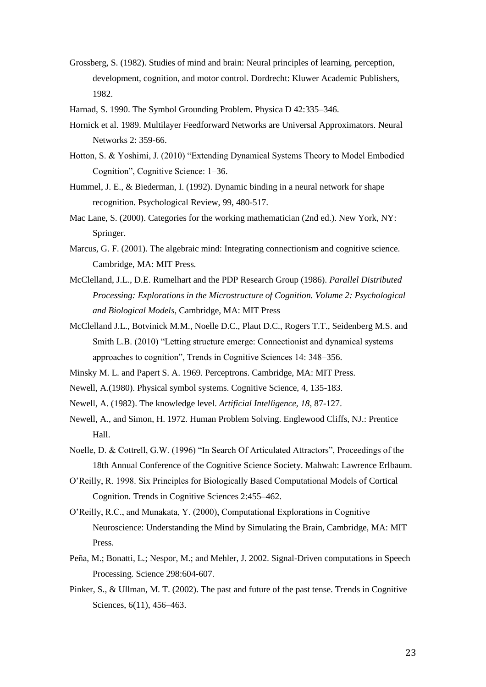- Grossberg, S. (1982). Studies of mind and brain: Neural principles of learning, perception, development, cognition, and motor control. Dordrecht: Kluwer Academic Publishers, 1982.
- Harnad, S. 1990. The Symbol Grounding Problem. Physica D 42:335–346.
- Hornick et al. 1989. Multilayer Feedforward Networks are Universal Approximators. Neural Networks 2: 359-66.
- Hotton, S. & Yoshimi, J. (2010) "Extending Dynamical Systems Theory to Model Embodied Cognition", Cognitive Science: 1–36.
- Hummel, J. E., & Biederman, I. (1992). Dynamic binding in a neural network for shape recognition. Psychological Review, 99, 480-517.
- Mac Lane, S. (2000). Categories for the working mathematician (2nd ed.). New York, NY: Springer.
- Marcus, G. F. (2001). The algebraic mind: Integrating connectionism and cognitive science. Cambridge, MA: MIT Press.
- McClelland, J.L., D.E. Rumelhart and the PDP Research Group (1986). *Parallel Distributed Processing: Explorations in the Microstructure of Cognition. Volume 2: Psychological and Biological Models*, Cambridge, MA: MIT Press
- McClelland J.L., Botvinick M.M., Noelle D.C., Plaut D.C., Rogers T.T., Seidenberg M.S. and Smith L.B. (2010) "Letting structure emerge: Connectionist and dynamical systems approaches to cognition", Trends in Cognitive Sciences 14: 348–356.
- Minsky M. L. and Papert S. A. 1969. Perceptrons. Cambridge, MA: MIT Press.
- Newell, A.(1980). Physical symbol systems. Cognitive Science, 4, 135-183.
- Newell, A. (1982). The knowledge level. *Artificial Intelligence, 18*, 87-127.
- Newell, A., and Simon, H. 1972. Human Problem Solving. Englewood Cliffs, NJ.: Prentice Hall.
- Noelle, D. & Cottrell, G.W. (1996) "In Search Of Articulated Attractors", Proceedings of the 18th Annual Conference of the Cognitive Science Society. Mahwah: Lawrence Erlbaum.
- O'Reilly, R. 1998. Six Principles for Biologically Based Computational Models of Cortical Cognition. Trends in Cognitive Sciences 2:455–462.
- O'Reilly, R.C., and Munakata, Y. (2000), Computational Explorations in Cognitive Neuroscience: Understanding the Mind by Simulating the Brain, Cambridge, MA: MIT Press.
- Peña, M.; Bonatti, L.; Nespor, M.; and Mehler, J. 2002. Signal-Driven computations in Speech Processing. Science 298:604-607.
- Pinker, S., & Ullman, M. T. (2002). The past and future of the past tense. Trends in Cognitive Sciences, 6(11), 456–463.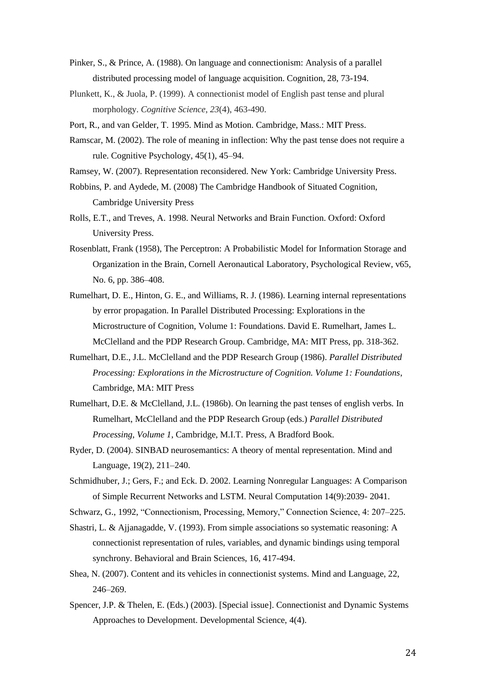- Pinker, S., & Prince, A. (1988). On language and connectionism: Analysis of a parallel distributed processing model of language acquisition. Cognition, 28, 73-194.
- Plunkett, K., & Juola, P. (1999). A connectionist model of English past tense and plural morphology. *Cognitive Science*, *23*(4), 463-490.
- Port, R., and van Gelder, T. 1995. Mind as Motion. Cambridge, Mass.: MIT Press.
- Ramscar, M. (2002). The role of meaning in inflection: Why the past tense does not require a rule. Cognitive Psychology, 45(1), 45–94.
- Ramsey, W. (2007). Representation reconsidered. New York: Cambridge University Press.
- Robbins, P. and Aydede, M. (2008) The Cambridge Handbook of Situated Cognition, Cambridge University Press
- Rolls, E.T., and Treves, A. 1998. Neural Networks and Brain Function. Oxford: Oxford University Press.
- Rosenblatt, Frank (1958), The Perceptron: A Probabilistic Model for Information Storage and Organization in the Brain, Cornell Aeronautical Laboratory, Psychological Review, v65, No. 6, pp. 386–408.
- Rumelhart, D. E., Hinton, G. E., and Williams, R. J. (1986). Learning internal representations by error propagation. In Parallel Distributed Processing: Explorations in the Microstructure of Cognition, Volume 1: Foundations. David E. Rumelhart, James L. McClelland and the PDP Research Group. Cambridge, MA: MIT Press, pp. 318-362.
- Rumelhart, D.E., J.L. McClelland and the PDP Research Group (1986). *Parallel Distributed Processing: Explorations in the Microstructure of Cognition. Volume 1: Foundations*, Cambridge, MA: MIT Press
- Rumelhart, D.E. & McClelland, J.L. (1986b). On learning the past tenses of english verbs. In Rumelhart, McClelland and the PDP Research Group (eds.) *Parallel Distributed Processing, Volume 1*, Cambridge, M.I.T. Press, A Bradford Book.
- Ryder, D. (2004). SINBAD neurosemantics: A theory of mental representation. Mind and Language, 19(2), 211–240.
- Schmidhuber, J.; Gers, F.; and Eck. D. 2002. Learning Nonregular Languages: A Comparison of Simple Recurrent Networks and LSTM. Neural Computation 14(9):2039- 2041.

Schwarz, G., 1992, "Connectionism, Processing, Memory," Connection Science, 4: 207–225.

- Shastri, L. & Ajjanagadde, V. (1993). From simple associations so systematic reasoning: A connectionist representation of rules, variables, and dynamic bindings using temporal synchrony. Behavioral and Brain Sciences, 16, 417-494.
- Shea, N. (2007). Content and its vehicles in connectionist systems. Mind and Language, 22, 246–269.
- Spencer, J.P. & Thelen, E. (Eds.) (2003). [Special issue]. Connectionist and Dynamic Systems Approaches to Development. Developmental Science, 4(4).